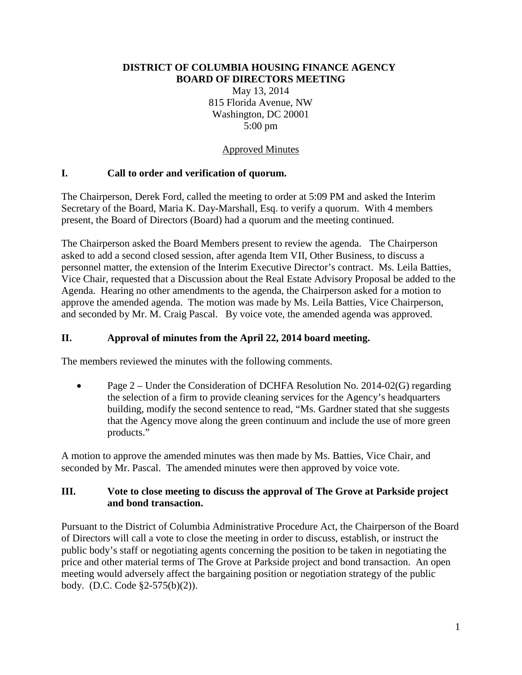#### **DISTRICT OF COLUMBIA HOUSING FINANCE AGENCY BOARD OF DIRECTORS MEETING**

May 13, 2014 815 Florida Avenue, NW Washington, DC 20001 5:00 pm

### Approved Minutes

### **I. Call to order and verification of quorum.**

The Chairperson, Derek Ford, called the meeting to order at 5:09 PM and asked the Interim Secretary of the Board, Maria K. Day-Marshall, Esq. to verify a quorum. With 4 members present, the Board of Directors (Board) had a quorum and the meeting continued.

The Chairperson asked the Board Members present to review the agenda. The Chairperson asked to add a second closed session, after agenda Item VII, Other Business, to discuss a personnel matter, the extension of the Interim Executive Director's contract. Ms. Leila Batties, Vice Chair, requested that a Discussion about the Real Estate Advisory Proposal be added to the Agenda. Hearing no other amendments to the agenda, the Chairperson asked for a motion to approve the amended agenda. The motion was made by Ms. Leila Batties, Vice Chairperson, and seconded by Mr. M. Craig Pascal. By voice vote, the amended agenda was approved.

### **II. Approval of minutes from the April 22, 2014 board meeting.**

The members reviewed the minutes with the following comments.

• Page 2 – Under the Consideration of DCHFA Resolution No. 2014-02(G) regarding the selection of a firm to provide cleaning services for the Agency's headquarters building, modify the second sentence to read, "Ms. Gardner stated that she suggests that the Agency move along the green continuum and include the use of more green products."

A motion to approve the amended minutes was then made by Ms. Batties, Vice Chair, and seconded by Mr. Pascal. The amended minutes were then approved by voice vote.

### **III. Vote to close meeting to discuss the approval of The Grove at Parkside project and bond transaction.**

Pursuant to the District of Columbia Administrative Procedure Act, the Chairperson of the Board of Directors will call a vote to close the meeting in order to discuss, establish, or instruct the public body's staff or negotiating agents concerning the position to be taken in negotiating the price and other material terms of The Grove at Parkside project and bond transaction. An open meeting would adversely affect the bargaining position or negotiation strategy of the public body. (D.C. Code §2-575(b)(2)).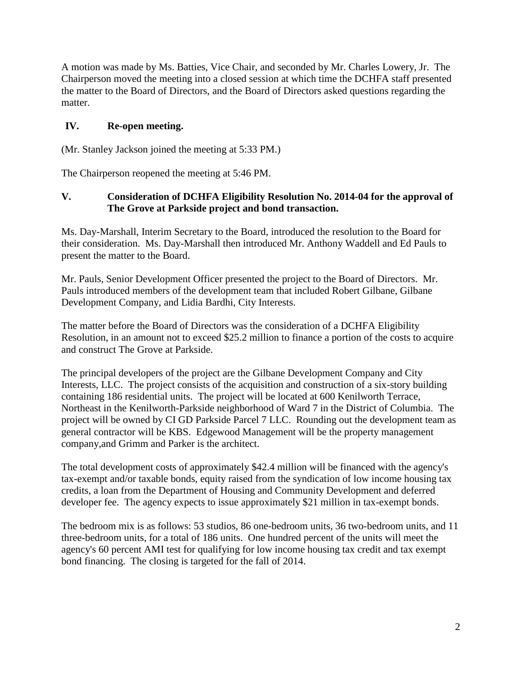A motion was made by Ms. Batties, Vice Chair, and seconded by Mr. Charles Lowery, Jr. The Chairperson moved the meeting into a closed session at which time the DCHFA staff presented the matter to the Board of Directors, and the Board of Directors asked questions regarding the matter.

### **IV. Re-open meeting.**

(Mr. Stanley Jackson joined the meeting at 5:33 PM.)

The Chairperson reopened the meeting at 5:46 PM.

### **V. Consideration of DCHFA Eligibility Resolution No. 2014-04 for the approval of The Grove at Parkside project and bond transaction.**

Ms. Day-Marshall, Interim Secretary to the Board, introduced the resolution to the Board for their consideration. Ms. Day-Marshall then introduced Mr. Anthony Waddell and Ed Pauls to present the matter to the Board.

Mr. Pauls, Senior Development Officer presented the project to the Board of Directors. Mr. Pauls introduced members of the development team that included Robert Gilbane, Gilbane Development Company, and Lidia Bardhi, City Interests.

The matter before the Board of Directors was the consideration of a DCHFA Eligibility Resolution, in an amount not to exceed \$25.2 million to finance a portion of the costs to acquire and construct The Grove at Parkside.

The principal developers of the project are the Gilbane Development Company and City Interests, LLC. The project consists of the acquisition and construction of a six-story building containing 186 residential units. The project will be located at 600 Kenilworth Terrace, Northeast in the Kenilworth-Parkside neighborhood of Ward 7 in the District of Columbia. The project will be owned by CI GD Parkside Parcel 7 LLC. Rounding out the development team as general contractor will be KBS. Edgewood Management will be the property management company,and Grimm and Parker is the architect.

The total development costs of approximately \$42.4 million will be financed with the agency's tax-exempt and/or taxable bonds, equity raised from the syndication of low income housing tax credits, a loan from the Department of Housing and Community Development and deferred developer fee. The agency expects to issue approximately \$21 million in tax-exempt bonds.

The bedroom mix is as follows: 53 studios, 86 one-bedroom units, 36 two-bedroom units, and 11 three-bedroom units, for a total of 186 units. One hundred percent of the units will meet the agency's 60 percent AMI test for qualifying for low income housing tax credit and tax exempt bond financing. The closing is targeted for the fall of 2014.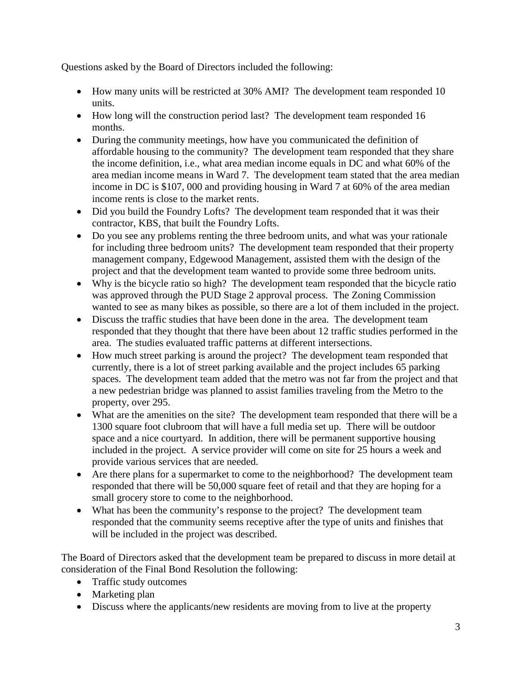Questions asked by the Board of Directors included the following:

- How many units will be restricted at 30% AMI? The development team responded 10 units.
- How long will the construction period last? The development team responded 16 months.
- During the community meetings, how have you communicated the definition of affordable housing to the community? The development team responded that they share the income definition, i.e., what area median income equals in DC and what 60% of the area median income means in Ward 7. The development team stated that the area median income in DC is \$107, 000 and providing housing in Ward 7 at 60% of the area median income rents is close to the market rents.
- Did you build the Foundry Lofts? The development team responded that it was their contractor, KBS, that built the Foundry Lofts.
- Do you see any problems renting the three bedroom units, and what was your rationale for including three bedroom units? The development team responded that their property management company, Edgewood Management, assisted them with the design of the project and that the development team wanted to provide some three bedroom units.
- Why is the bicycle ratio so high? The development team responded that the bicycle ratio was approved through the PUD Stage 2 approval process. The Zoning Commission wanted to see as many bikes as possible, so there are a lot of them included in the project.
- Discuss the traffic studies that have been done in the area. The development team responded that they thought that there have been about 12 traffic studies performed in the area. The studies evaluated traffic patterns at different intersections.
- How much street parking is around the project? The development team responded that currently, there is a lot of street parking available and the project includes 65 parking spaces. The development team added that the metro was not far from the project and that a new pedestrian bridge was planned to assist families traveling from the Metro to the property, over 295.
- What are the amenities on the site? The development team responded that there will be a 1300 square foot clubroom that will have a full media set up. There will be outdoor space and a nice courtyard. In addition, there will be permanent supportive housing included in the project. A service provider will come on site for 25 hours a week and provide various services that are needed.
- Are there plans for a supermarket to come to the neighborhood? The development team responded that there will be 50,000 square feet of retail and that they are hoping for a small grocery store to come to the neighborhood.
- What has been the community's response to the project? The development team responded that the community seems receptive after the type of units and finishes that will be included in the project was described.

The Board of Directors asked that the development team be prepared to discuss in more detail at consideration of the Final Bond Resolution the following:

- Traffic study outcomes
- Marketing plan
- Discuss where the applicants/new residents are moving from to live at the property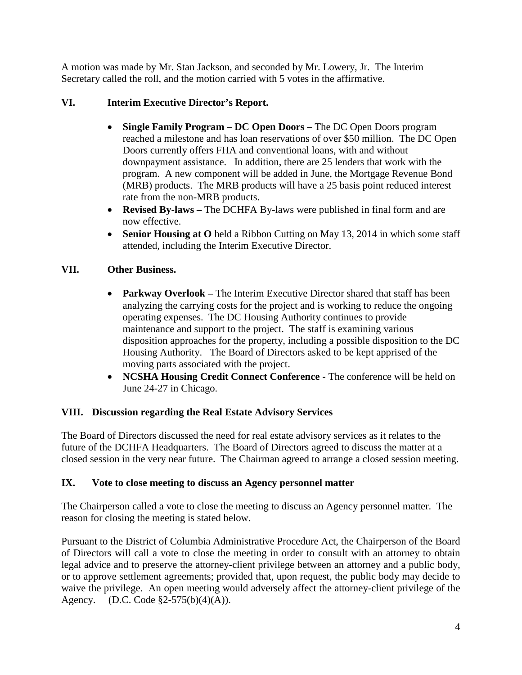A motion was made by Mr. Stan Jackson, and seconded by Mr. Lowery, Jr. The Interim Secretary called the roll, and the motion carried with 5 votes in the affirmative.

# **VI. Interim Executive Director's Report.**

- **Single Family Program – DC Open Doors –** The DC Open Doors program reached a milestone and has loan reservations of over \$50 million. The DC Open Doors currently offers FHA and conventional loans, with and without downpayment assistance. In addition, there are 25 lenders that work with the program. A new component will be added in June, the Mortgage Revenue Bond (MRB) products. The MRB products will have a 25 basis point reduced interest rate from the non-MRB products.
- **Revised By-laws –** The DCHFA By-laws were published in final form and are now effective.
- **Senior Housing at O** held a Ribbon Cutting on May 13, 2014 in which some staff attended, including the Interim Executive Director.

# **VII. Other Business.**

- **Parkway Overlook** The Interim Executive Director shared that staff has been analyzing the carrying costs for the project and is working to reduce the ongoing operating expenses. The DC Housing Authority continues to provide maintenance and support to the project. The staff is examining various disposition approaches for the property, including a possible disposition to the DC Housing Authority. The Board of Directors asked to be kept apprised of the moving parts associated with the project.
- **NCSHA Housing Credit Connect Conference -** The conference will be held on June 24-27 in Chicago.

# **VIII. Discussion regarding the Real Estate Advisory Services**

The Board of Directors discussed the need for real estate advisory services as it relates to the future of the DCHFA Headquarters. The Board of Directors agreed to discuss the matter at a closed session in the very near future. The Chairman agreed to arrange a closed session meeting.

# **IX. Vote to close meeting to discuss an Agency personnel matter**

The Chairperson called a vote to close the meeting to discuss an Agency personnel matter. The reason for closing the meeting is stated below.

Pursuant to the District of Columbia Administrative Procedure Act, the Chairperson of the Board of Directors will call a vote to close the meeting in order to consult with an attorney to obtain legal advice and to preserve the attorney-client privilege between an attorney and a public body, or to approve settlement agreements; provided that, upon request, the public body may decide to waive the privilege. An open meeting would adversely affect the attorney-client privilege of the Agency. (D.C. Code §2-575(b)(4)(A)).